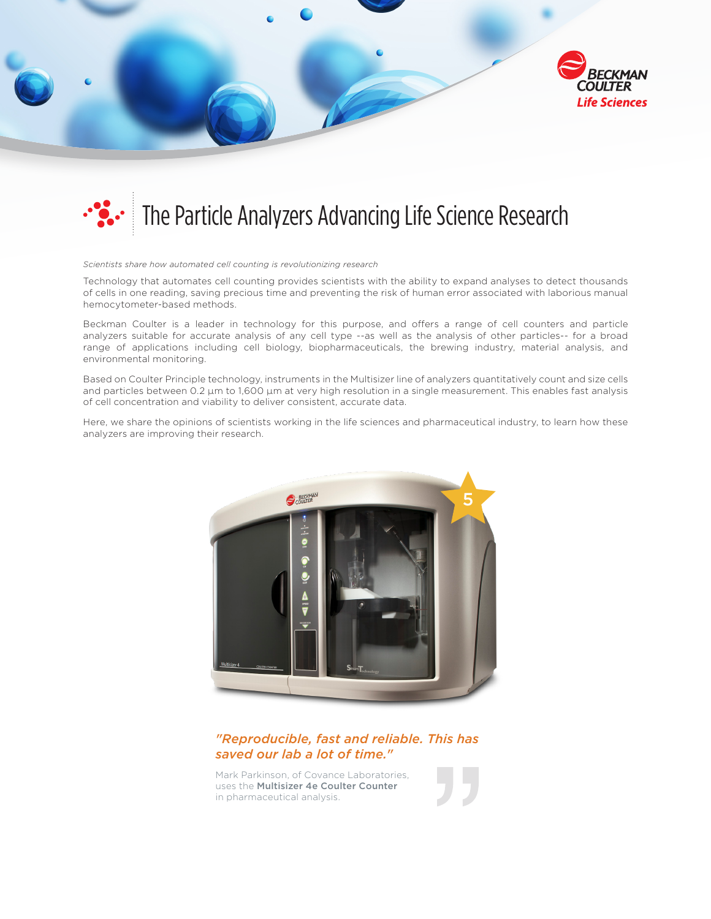



## The Particle Analyzers Advancing Life Science Research

*Scientists share how automated cell counting is revolutionizing research*

Technology that automates cell counting provides scientists with the ability to expand analyses to detect thousands of cells in one reading, saving precious time and preventing the risk of human error associated with laborious manual hemocytometer-based methods.

Beckman Coulter is a leader in technology for this purpose, and offers a range of cell counters and particle analyzers suitable for accurate analysis of any cell type --as well as the analysis of other particles-- for a broad range of applications including cell biology, biopharmaceuticals, the brewing industry, material analysis, and environmental monitoring.

Based on Coulter Principle technology, instruments in the Multisizer line of analyzers quantitatively count and size cells and particles between 0.2 µm to 1,600 µm at very high resolution in a single measurement. This enables fast analysis of cell concentration and viability to deliver consistent, accurate data.

Here, we share the opinions of scientists working in the life sciences and pharmaceutical industry, to learn how these analyzers are improving their research.



## *"Reproducible, fast and reliable. This has saved our lab a lot of time."*

Mark Parkinson, of Covance Laboratories, uses the Multisizer 4e Coulter Counter in pharmaceutical analysis.